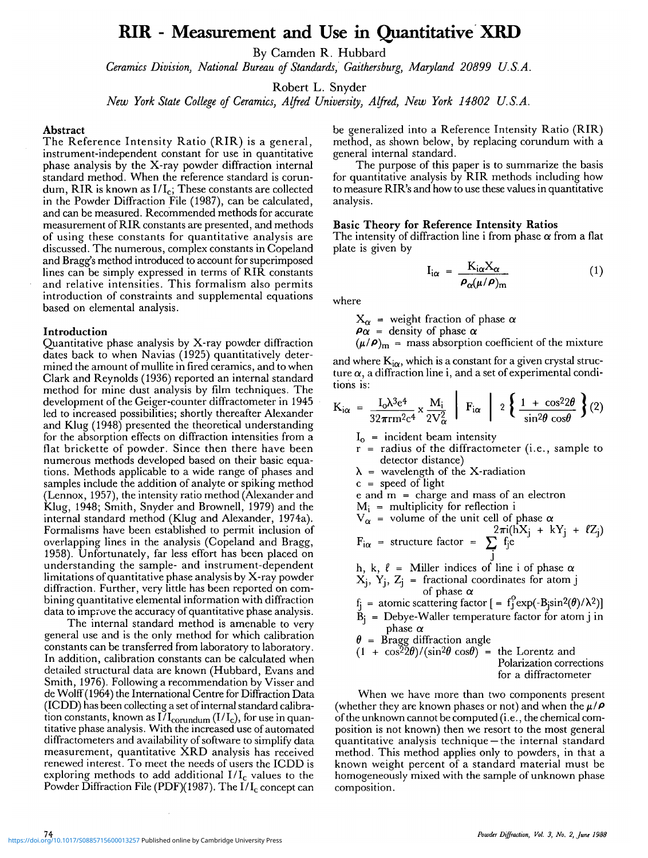# **RIR - Measurement and Use in Quantitative XRD**

By Camden R. Hubbard

*Ceramics Division, National Bureau of Standards, Gaithersburg, Maryland 20899 U.S.A.*

Robert L. Snyder

*New York State College of Ceramics, Alfred University, Alfred, New York 14802 U.S.A.*

#### **Abstract**

The Reference Intensity Ratio **(RIR)** is a general, instrument-independent constant for use in quantitative phase analysis by the X-ray powder diffraction internal standard method. When the reference standard is corundum, RIR is known as  $I/I_c$ ; These constants are collected in the Powder Diffraction File (1987), can be calculated, and can be measured. Recommended methods for accurate measurement of RIR constants are presented, and methods of using these constants for quantitative analysis are discussed. The numerous, complex constants in Copeland and Bragg's method introduced to account for superimposed lines can be simply expressed in terms of RIR constants and relative intensities. This formalism also permits introduction of constraints and supplemental equations based on elemental analysis.

#### **Introduction**

Quantitative phase analysis by X-ray powder diffraction dates back to when Navias (1925) quantitatively determined the amount of mullite in fired ceramics, and to when Clark and Reynolds (1936) reported an internal standard method for mine dust analysis by film techniques. The development of the Geiger-counter diffractometer in 1945 led to increased possibilities; shortly thereafter Alexander and Klug (1948) presented the theoretical understanding for the absorption effects on diffraction intensities from a flat brickette of powder. Since then there have been numerous methods developed based on their basic equations. Methods applicable to a wide range of phases and samples include the addition of analyte or spiking method (Lennox, 1957), the intensity ratio method (Alexander and Klug, 1948; Smith, Snyder and Brownell, 1979) and the internal standard method (Klug and Alexander, 1974a). Formalisms have been established to permit inclusion of overlapping lines in the analysis (Copeland and Bragg, 1958). Unfortunately, far less effort has been placed on understanding the sample- and instrument-dependent limitations of quantitative phase analysis by X-ray powder diffraction. Further, very little has been reported on combining quantitative elemental information with diffraction data to improve the accuracy of quantitative phase analysis.

The internal standard method is amenable to very general use and is the only method for which calibration constants can be transferred from laboratory to laboratory. In addition, calibration constants can be calculated when detailed structural data are known (Hubbard, Evans and Smith, 1976). Following a recommendation by Visser and de Wolff (1964) the International Centre for Diffraction Data (ICDD) has been collecting a set of internal standard calibration constants, known as  $I/I_{\text{corundum}}(I/I_{\text{c}})$ , for use in quantitative phase analysis. With the increased use of automated diffractometers and availability of software to simplify data measurement, quantitative XRD analysis has received renewed interest. To meet the needs of users the ICDD is exploring methods to add additional  $I/I_c$  values to the Powder Diffraction File (PDF)(1987). The  $I/I_c$  concept can

be generalized into a Reference Intensity Ratio (RIR) method, as shown below, by replacing corundum with a general internal standard.

The purpose of this paper is to summarize the basis for quantitative analysis by RIR methods including how to measure RIR's and how to use these values in quantitative analysis.

#### **Basic Theory for Reference Intensity Ratios**

The intensity of diffraction line i from phase  $\alpha$  from a flat plate is given by

$$
I_{i\alpha} = \frac{K_{i\alpha}X_{\alpha}}{\rho_{\alpha}(\mu/\rho)_{m}}
$$
 (1)

where

 $X_{\alpha}$  = weight fraction of phase  $\alpha$ 

 $\rho_{\alpha}$  = density of phase  $\alpha$ 

$$
(\mu/\rho)_{\text{m}}
$$
 = mass absorption coefficient of the mixture

and where  $K_{i\alpha}$ , which is a constant for a given crystal structure  $\alpha$ , a diffraction line i, and a set of experimental conditions is:

$$
K_{i\alpha} = \frac{I_0 \lambda^3 e^4}{32\pi r m^2 c^4} \times \frac{M_i}{2V_{\alpha}^2} \left| F_{i\alpha} \right| 2 \left\{ \frac{1 + \cos^2 2\theta}{\sin^2 \theta \cos \theta} \right\} (2)
$$

- $I_0$  = incident beam intensity
- r = radius of the diffractometer (i.e., sample to detector distance)
- $\lambda$  = wavelength of the X-radiation

 $c = speed of light$ 

 $e$  and  $m =$  charge and mass of an electron

 $M_i$  = multiplicity for reflection i

$$
V_{\alpha} = \text{volume of the unit cell of phase } \alpha
$$
  

$$
F_{i\alpha} = \text{structure factor} = \sum_{i}^{2\pi i (hX_{j} + kY_{j} + \ell Z_{j})}
$$

h, k, <sup>j</sup> *\$ =* Miller indices of line i of phase *a*  $X_j$ ,  $Y_j$ ,  $Z_j$  = fractional coordinates for atom j of phase *a*

 $f_i =$  atomic scattering factor  $\left[ = f_i^0 \exp(-B_i \sin^2(\theta)/\lambda^2) \right]$ 

 $\tilde{B}_i$  = Debye-Waller temperature factor for atom j in phase  $\alpha$ 

 $\theta$  = Bragg diffraction angle

$$
(1 + \cos^{2} 2\theta) / (\sin^{2} \theta \cos \theta) = \text{ the Lorentz andPolarization correctionsfor a diffractometer
$$

When we have more than two components present (whether they are known phases or not) and when the  $\mu / \rho$ of the unknown cannot be computed (i.e., the chemical composition is not known) then we resort to the most general quantitative analysis technique —the internal standard method. This method applies only to powders, in that a known weight percent of a standard material must be homogeneously mixed with the sample of unknown phase composition.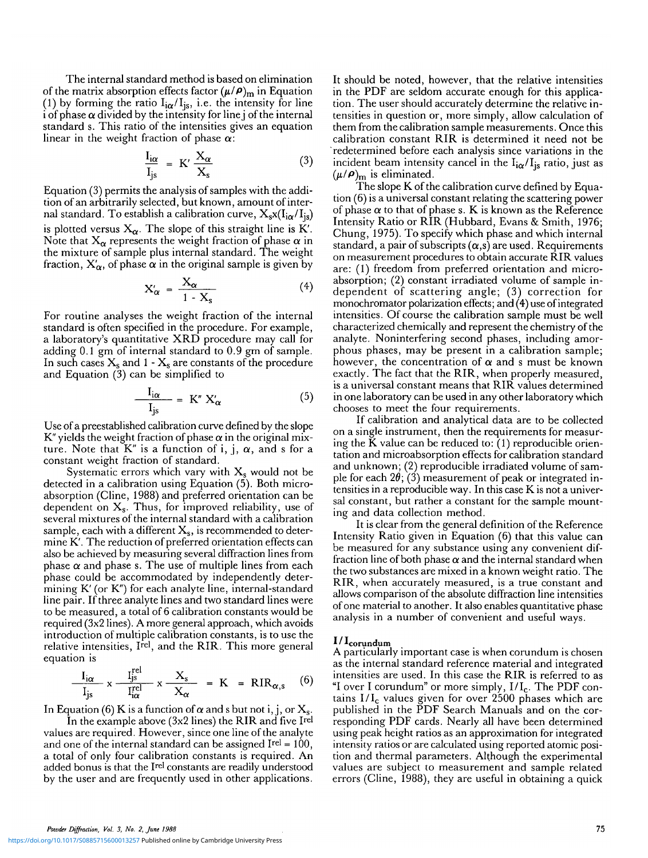The internal standard method is based on elimination of the matrix absorption effects factor  $(\mu/\rho)_{\text{m}}$  in Equation (1) by forming the ratio  $I_{i\alpha}/I_{js}$ , i.e. the intensity for line i of phase *a* divided by the intensity for line j of the internal standard s. This ratio of the intensities gives an equation linear in the weight fraction of phase *a:*

$$
\frac{I_{i\alpha}}{I_{js}} = K' \frac{X_{\alpha}}{X_s}
$$
 (3)

Equation (3) permits the analysis of samples with the addition of an arbitrarily selected, but known, amount of internal standard. To establish a calibration curve,  $X_s x (I_{i\alpha}/I_{is})$ is plotted versus  $X_{\alpha}$ . The slope of this straight line is K'. Note that  $X_{\alpha}$  represents the weight fraction of phase  $\alpha$  in the mixture of sample plus internal standard. The weight fraction,  $X'_\alpha$ , of phase  $\alpha$  in the original sample is given by

$$
X'_{\alpha} = \frac{X_{\alpha}}{1 - X_s} \tag{4}
$$

For routine analyses the weight fraction of the internal standard is often specified in the procedure. For example, a laboratory's quantitative XRD procedure may call for adding 0.1 gm of internal standard to 0.9 gm of sample. In such cases  $X_s$  and 1 -  $X_s$  are constants of the procedure and Equation (3) can be simplified to

$$
\frac{I_{i\alpha}}{I_{j\text{s}}} = \mathbf{K}'' \mathbf{X}'_{\alpha} \tag{5}
$$

Use of a preestablished calibration curve defined by the slope K" yields the weight fraction of phase  $\alpha$  in the original mixture. Note that  $K''$  is a function of i, j,  $\alpha$ , and s for a constant weight fraction of standard.

Systematic errors which vary with  $X_s$  would not be detected in a calibration using Equation (5). Both microabsorption (Cline, 1988) and preferred orientation can be dependent on  $X_s$ . Thus, for improved reliability, use of several mixtures of the internal standard with a calibration sample, each with a different  $X_s$ , is recommended to determine K'. The reduction of preferred orientation effects can also be achieved by measuring several diffraction lines from phase  $\alpha$  and phase s. The use of multiple lines from each phase could be accommodated by independently determining K' (or K") for each analyte line, internal-standard line pair. If three analyte lines and two standard lines were to be measured, a total of 6 calibration constants would be required (3x2 lines). A more general approach, which avoids introduction of multiple calibration constants, is to use the relative intensities, Irel, and the RIR. This more general equation is

$$
\frac{I_{i\alpha}}{I_{j\text{s}}} \times \frac{I_{j\text{s}}^{\text{rel}}}{I_{i\alpha}^{\text{rel}}} \times \frac{X_{\text{s}}}{X_{\alpha}} = K = RIR_{\alpha,\text{s}} \quad (6)
$$

In Equation (6) K is a function of  $\alpha$  and s but not i, j, or  $X_s$ .<br>In the example above (3x2 lines) the RIR and five Irel

values are required. However, since one line of the analyte and one of the internal standard can be assigned  $\text{[rel]} = 100$ , a total of only four calibration constants is required. An a total of only four canonisms. Showing is required: The added bonus is that the I<sup>rel</sup> constants are readily understood by the user and are frequently used in other applications.

It should be noted, however, that the relative intensities in the PDF are seldom accurate enough for this application. The user should accurately determine the relative intensities in question or, more simply, allow calculation of them from the calibration sample measurements. Once this calibration constant RIR is determined it need not be ' redetermined before each analysis since variations in the incident beam intensity cancel in the  $I_{i\alpha}/I_{j\alpha}$  ratio, just as  $(\mu/\rho)_{\text{m}}$  is eliminated.

The slope K of the calibration curve defined by Equation (6) is a universal constant relating the scattering power of phase  $\alpha$  to that of phase s. K is known as the Reference Intensity Ratio or RIR (Hubbard, Evans & Smith, 1976; Chung, 1975). To specify which phase and which internal standard, a pair of subscripts  $(\alpha, s)$  are used. Requirements on measurement procedures to obtain accurate RIR values are: (1) freedom from preferred orientation and microabsorption; (2) constant irradiated volume of sample independent of scattering angle; (3) correction for monochromator polarization effects; and (4) use of integrated intensities. Of course the calibration sample must be well characterized chemically and represent the chemistry of the analyte. Noninterfering second phases, including amorphous phases, may be present in a calibration sample; however, the concentration of  $\alpha$  and s must be known exactly. The fact that the RIR, when properly measured, is a universal constant means that RIR values determined in one laboratory can be used in any other laboratory which chooses to meet the four requirements.

If calibration and analytical data are to be collected on a single instrument, then the requirements for measuring the K value can be reduced to: (1) reproducible orientation and microabsorption effects for calibration standard and unknown; (2) reproducible irradiated volume of sample for each  $2\theta$ ; (3) measurement of peak or integrated intensities in a reproducible way. In this case K is not a universal constant, but rather a constant for the sample mounting and data collection method.

It is clear from the general definition of the Reference Intensity Ratio given in Equation (6) that this value can be measured for any substance using any convenient diffraction line of both phase  $\alpha$  and the internal standard when the two substances are mixed in a known weight ratio. The RIR, when accurately measured, is a true constant and allows comparison of the absolute diffraction line intensities of one material to another. It also enables quantitative phase analysis in a number of convenient and useful ways.

# $1/1$ corundum

A particularly important case is when corundum is chosen as the internal standard reference material and integrated intensities are used. In this case the RIR is referred to as "I over I corundum" or more simply,  $I/I_c$ . The PDF contains  $I/I_c$  values given for over 2500 phases which are published in the PDF Search Manuals and on the corresponding PDF cards. Nearly all have been determined using peak height ratios as an approximation for integrated intensity ratios or are calculated using reported atomic posi- tion and thermal parameters. Although the experimental values are subject to measurement and sample related errors (Cline, 1988), they are useful in obtaining a quick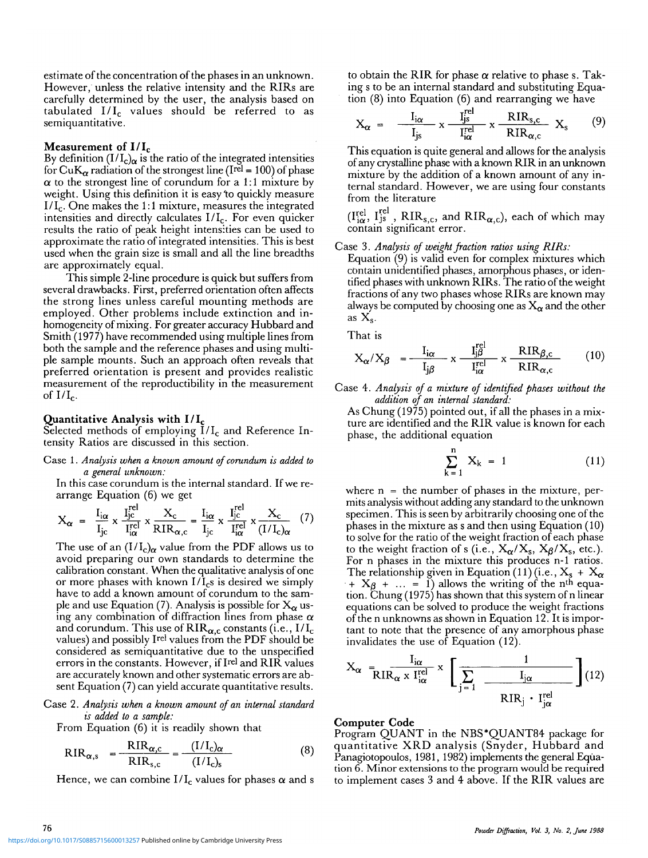estimate of the concentration of the phases in an unknown. However, unless the relative intensity and the RIRs are carefully determined by the user, the analysis based on tabulated  $I/I_c$  values should be referred to as semiquantitative.

# **Measurement of I/I <sup>c</sup>**

By definition (I/I<sub>c) $\alpha$ </sub> is the ratio of the integrated intensities for CuK<sub> $\alpha$ </sub> radiation of the strongest line (Ire<sup>l</sup> = 100) of phase  $\alpha$  to the strongest line of corundum for a 1:1 mixture by weight. Using this definition it is easy'to quickly measure  $I/I_c$ . One makes the 1:1 mixture, measures the integrated intensities and directly calculates  $I/I_c$ . For even quicker results the ratio of peak height intensities can be used to approximate the ratio of integrated intensities. This is best used when the grain size is small and all the line breadths are approximately equal.

This simple 2-line procedure is quick but suffers from several drawbacks. First, preferred orientation often affects the strong lines unless careful mounting methods are employed. Other problems include extinction and inhomogeneity of mixing. For greater accuracy Hubbard and Smith (1977) have recommended using multiple lines from both the sample and the reference phases and using multiple sample mounts. Such an approach often reveals that preferred orientation is present and provides realistic measurement of the reproductibility in the measurement of  $I/I_c$ .

# **Quantitative Analysis with I/I <sup>c</sup>**

Selected methods of employing  $I/I_c$  and Reference Intensity Ratios are discussed in this section.

Case 1. *Analysis when a known amount of corundum is added to a general unknown:*

In this case corundum is the internal standard. If we rearrange Equation (6) we get

$$
X_{\alpha} = \frac{I_{i\alpha}}{I_{jc}} \times \frac{I_{jc}^{rel}}{I_{i\alpha}^{rel}} \times \frac{X_c}{RIR_{\alpha,c}} = \frac{I_{i\alpha}}{I_{jc}} \times \frac{I_{jc}^{rel}}{I_{i\alpha}^{rel}} \times \frac{X_c}{(I/I_c)_{\alpha}} \quad (7)
$$

The use of an  $(I/I_c)_{\alpha}$  value from the PDF allows us to avoid preparing our own standards to determine the calibration constant. When the qualitative analysis of one or more phases with known  $I/I_c$ s is desired we simply have to add a known amount of corundum to the sample and use Equation (7). Analysis is possible for  $X_\alpha$  using any combination of diffraction lines from phase *a* and corundum. This use of  $\text{RIR}_{\alpha,c}$  constants (i.e.,  $I/I_c$ values) and possibly Ire' values from the PDF should be considered as semiquantitative due to the unspecified errors in the constants. However, if Irel and RIR values are accurately known and other systematic errors are absent Equation (7) can yield accurate quantitative results.

Case 2. *Analysis when a known amount of an internal standard is added to a sample:*

From Equation (6) it is readily shown that

$$
RIR_{\alpha,s} = \frac{RIR_{\alpha,c}}{RIR_{s,c}} = \frac{(I/I_c)_{\alpha}}{(I/I_c)_{s}}
$$
(8)

Hence, we can combine  $I/I_c$  values for phases  $\alpha$  and s

to obtain the RIR for phase *a* relative to phase s. Taking s to be an internal standard and substituting Equation (8) into Equation (6) and rearranging we have

$$
X_{\alpha} = \frac{I_{i\alpha}}{I_{js}} \times \frac{I_{js}^{\text{rel}}}{I_{i\alpha}^{\text{rel}}} \times \frac{RIR_{s,c}}{RIR_{\alpha,c}} X_{s} \qquad (9)
$$

This equation is quite general and allows for the analysis of any crystalline phase with a known RIR in an unknown mixture by the addition of a known amount of any internal standard. However, we are using four constants from the literature

 $(I^{\text{rel}}_{i\alpha}, I^{\text{rel}}_{j\text{s}}$ , RIR<sub>s,c</sub>, and RIR<sub> $\alpha$ ,c</sub>), each of which may contain significant error.

## Case 3. *Analysis of weight fraction ratios using RIRs:*

Equation (9) is valid even for complex mixtures which contain unidentified phases, amorphous phases, or identified phases with unknown RIRs. The ratio of the weight fractions of any two phases whose RIRs are known may always be computed by choosing one as  $X_{\alpha}$  and the other as  $X_s$ .

That is

$$
X_{\alpha}/X_{\beta} = \frac{I_{i\alpha}}{I_{j\beta}} \times \frac{I_{j\beta}^{\text{rel}}}{I_{i\alpha}^{\text{rel}}} \times \frac{RIR_{\beta,c}}{RIR_{\alpha,c}} \tag{10}
$$

Case 4. *Analysis of a mixture of identified phases without the addition of an internal standard:*

As Chung (1975) pointed out, if all the phases in a mixture are identified and the RIR value is known for each phase, the additional equation

$$
\sum_{k=1}^{n} X_k = 1
$$
 (11)

where  $n =$  the number of phases in the mixture, permits analysis without adding any standard to die unknown specimen. This is seen by arbitrarily choosing one of the phases in the mixture as s and then using Equation (10) to solve for the ratio of the weight fraction of each phase to the weight fraction of s (i.e.,  $X_{\alpha}/X_s$ ,  $X_{\beta}/X_s$ , etc.). For n phases in the mixture this produces n-1 ratios. The relationship given in Equation (11) (i.e.,  $X_s + X_\alpha$  $+ X_{\beta} + ... = 1$ ) allows the writing of the n<sup>th</sup> equation. Chung (1975) has shown that this system of n linear equations can be solved to produce the weight fractions of the n unknowns as shown in Equation 12. It is important to note that the presence of any amorphous phase invalidates the use of Equation (12).

$$
X_{\alpha} = \frac{I_{i\alpha}}{RIR_{\alpha} \times I_{i\alpha}^{\text{rel}}} \times \left[\frac{1}{\sum_{j=1}^{\infty} \frac{I_{j\alpha}}{RIR_{j} \cdot I_{j\alpha}^{\text{rel}}}}\right] (12)
$$

#### **Computer Code**

Program QUANT in the NBS\*Q\_UANT84 package for quantitative XRD analysis (Snyder, Hubbard and Panagiotopoulos, 1981, 1982) implements the general Equa- tion 6. Minor extensions to the program would be required to implement cases 3 and 4 above. If the RIR values are